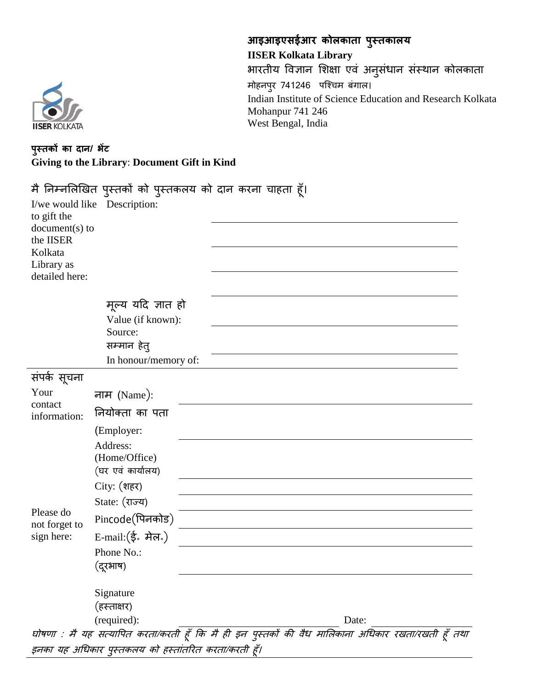

**आइआइएसईआर कोलकाता पुस्तकालय IISER Kolkata Library** भारतीय विज्ञान शिक्षा एवं अनुसंधान संस्थान कोलकाता मोहनपुर 741246 पश्चिम बंगाल। Indian Institute of Science Education and Research Kolkata Mohanpur 741 246 West Bengal, India

## **पुस्तकों का दान/ भेंट Giving to the Library**: **Document Gift in Kind**

| to gift the<br>$document(s)$ to<br>the IISER<br>Kolkata<br>Library as<br>detailed here: | I/we would like Description:                         | मै निम्नलिखित पुस्तकों को पुस्तकलय को दान करना चाहता हूँ।                                          |
|-----------------------------------------------------------------------------------------|------------------------------------------------------|----------------------------------------------------------------------------------------------------|
|                                                                                         | मूल्य यदि ज्ञात हो                                   |                                                                                                    |
| Value (if known):                                                                       |                                                      |                                                                                                    |
|                                                                                         | Source:                                              |                                                                                                    |
|                                                                                         | सम्मान हेतु<br>In honour/memory of:                  |                                                                                                    |
|                                                                                         |                                                      |                                                                                                    |
| संपर्क सूचना                                                                            |                                                      |                                                                                                    |
| Your<br>contact<br>information:<br>Please do<br>not forget to<br>sign here:             | नाम (Name):                                          |                                                                                                    |
|                                                                                         | नियोक्ता का पता                                      |                                                                                                    |
|                                                                                         | (Employer:                                           |                                                                                                    |
|                                                                                         | Address:<br>(Home/Office)<br>(घर एवं कार्यालय)       |                                                                                                    |
|                                                                                         | City: (शहर)                                          |                                                                                                    |
|                                                                                         | State: (राज्य)                                       |                                                                                                    |
|                                                                                         | Pincode(पिनकोड)                                      |                                                                                                    |
|                                                                                         | E-mail: (ई. मेल.)                                    |                                                                                                    |
|                                                                                         | Phone No.:<br>.दरभाष)                                |                                                                                                    |
|                                                                                         | Signature                                            |                                                                                                    |
|                                                                                         | (हस्ताक्षर)                                          |                                                                                                    |
|                                                                                         | (required):                                          | Date:                                                                                              |
|                                                                                         |                                                      | घोषणा : मै यह सत्यापित करता/करती हूँ कि मै ही इन पुस्तकों की वैध मालिकाना अधिकार रखता/रखती हूँ तथा |
|                                                                                         | इनका यह अधिकार पुस्तकलय को हस्तांतरित करता/करती हूँ। |                                                                                                    |